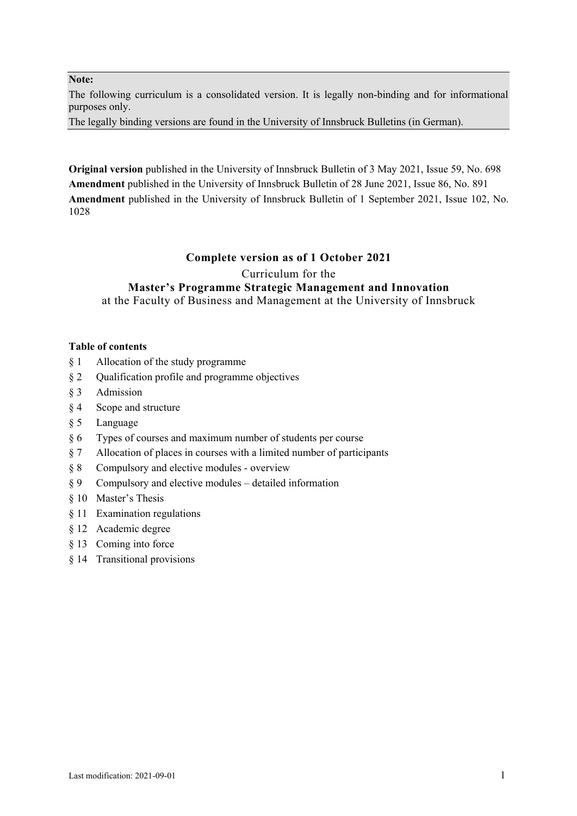#### **Note:**

The following curriculum is a consolidated version. It is legally non-binding and for informational purposes only.

The legally binding versions are found in the University of Innsbruck Bulletins (in German).

**Original version** published in the University of Innsbruck Bulletin of 3 May 2021, Issue 59, No. 698 **Amendment** published in the University of Innsbruck Bulletin of 28 June 2021, Issue 86, No. 891 **Amendment** published in the University of Innsbruck Bulletin of 1 September 2021, Issue 102, No. 1028

#### **Complete version as of 1 October 2021**

Curriculum for the

## **Master's Programme Strategic Management and Innovation**

at the Faculty of Business and Management at the University of Innsbruck

#### **Table of contents**

- § 1 Allocation of the study programme
- § 2 Qualification profile and programme objectives
- § 3 Admission
- § 4 Scope and structure
- § 5 Language
- § 6 Types of courses and maximum number of students per course
- § 7 Allocation of places in courses with a limited number of participants
- § 8 Compulsory and elective modules overview
- § 9 Compulsory and elective modules detailed information
- § 10 Master's Thesis
- § 11 Examination regulations
- § 12 Academic degree
- § 13 Coming into force
- § 14 Transitional provisions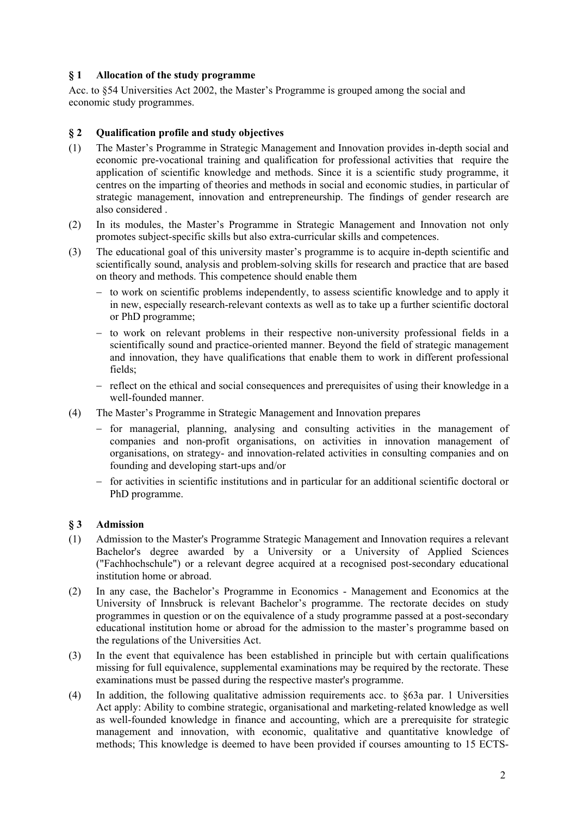## **§ 1 Allocation of the study programme**

Acc. to §54 Universities Act 2002, the Master's Programme is grouped among the social and economic study programmes.

## **§ 2 Qualification profile and study objectives**

- (1) The Master's Programme in Strategic Management and Innovation provides in-depth social and economic pre-vocational training and qualification for professional activities that require the application of scientific knowledge and methods. Since it is a scientific study programme, it centres on the imparting of theories and methods in social and economic studies, in particular of strategic management, innovation and entrepreneurship. The findings of gender research are also considered .
- (2) In its modules, the Master's Programme in Strategic Management and Innovation not only promotes subject-specific skills but also extra-curricular skills and competences.
- (3) The educational goal of this university master's programme is to acquire in-depth scientific and scientifically sound, analysis and problem-solving skills for research and practice that are based on theory and methods. This competence should enable them
	- $-$  to work on scientific problems independently, to assess scientific knowledge and to apply it in new, especially research-relevant contexts as well as to take up a further scientific doctoral or PhD programme;
	- to work on relevant problems in their respective non-university professional fields in a scientifically sound and practice-oriented manner. Beyond the field of strategic management and innovation, they have qualifications that enable them to work in different professional fields;
	- $-$  reflect on the ethical and social consequences and prerequisites of using their knowledge in a well-founded manner.
- (4) The Master's Programme in Strategic Management and Innovation prepares
	- for managerial, planning, analysing and consulting activities in the management of companies and non-profit organisations, on activities in innovation management of organisations, on strategy- and innovation-related activities in consulting companies and on founding and developing start-ups and/or
	- for activities in scientific institutions and in particular for an additional scientific doctoral or PhD programme.

## **§ 3 Admission**

- (1) Admission to the Master's Programme Strategic Management and Innovation requires a relevant Bachelor's degree awarded by a University or a University of Applied Sciences ("Fachhochschule") or a relevant degree acquired at a recognised post-secondary educational institution home or abroad.
- (2) In any case, the Bachelor's Programme in Economics Management and Economics at the University of Innsbruck is relevant Bachelor's programme. The rectorate decides on study programmes in question or on the equivalence of a study programme passed at a post-secondary educational institution home or abroad for the admission to the master's programme based on the regulations of the Universities Act.
- (3) In the event that equivalence has been established in principle but with certain qualifications missing for full equivalence, supplemental examinations may be required by the rectorate. These examinations must be passed during the respective master's programme.
- (4) In addition, the following qualitative admission requirements acc. to §63a par. 1 Universities Act apply: Ability to combine strategic, organisational and marketing-related knowledge as well as well-founded knowledge in finance and accounting, which are a prerequisite for strategic management and innovation, with economic, qualitative and quantitative knowledge of methods; This knowledge is deemed to have been provided if courses amounting to 15 ECTS-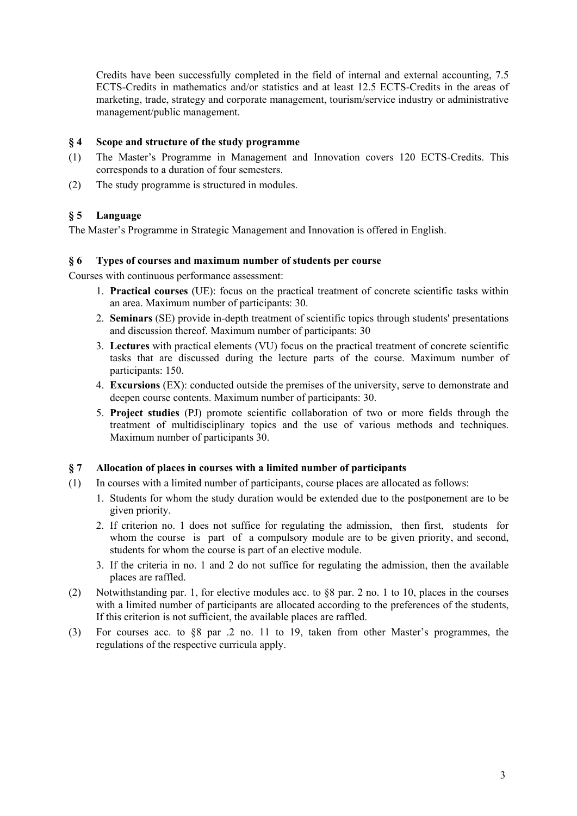Credits have been successfully completed in the field of internal and external accounting, 7.5 ECTS-Credits in mathematics and/or statistics and at least 12.5 ECTS-Credits in the areas of marketing, trade, strategy and corporate management, tourism/service industry or administrative management/public management.

## **§ 4 Scope and structure of the study programme**

- (1) The Master's Programme in Management and Innovation covers 120 ECTS-Credits. This corresponds to a duration of four semesters.
- (2) The study programme is structured in modules.

## **§ 5 Language**

The Master's Programme in Strategic Management and Innovation is offered in English.

#### **§ 6 Types of courses and maximum number of students per course**

Courses with continuous performance assessment:

- 1. **Practical courses** (UE): focus on the practical treatment of concrete scientific tasks within an area. Maximum number of participants: 30.
- 2. **Seminars** (SE) provide in-depth treatment of scientific topics through students' presentations and discussion thereof. Maximum number of participants: 30
- 3. **Lectures** with practical elements (VU) focus on the practical treatment of concrete scientific tasks that are discussed during the lecture parts of the course. Maximum number of participants: 150.
- 4. **Excursions** (EX): conducted outside the premises of the university, serve to demonstrate and deepen course contents. Maximum number of participants: 30.
- 5. **Project studies** (PJ) promote scientific collaboration of two or more fields through the treatment of multidisciplinary topics and the use of various methods and techniques. Maximum number of participants 30.

## **§ 7 Allocation of places in courses with a limited number of participants**

- (1) In courses with a limited number of participants, course places are allocated as follows:
	- 1. Students for whom the study duration would be extended due to the postponement are to be given priority.
	- 2. If criterion no. 1 does not suffice for regulating the admission, then first, students for whom the course is part of a compulsory module are to be given priority, and second, students for whom the course is part of an elective module.
	- 3. If the criteria in no. 1 and 2 do not suffice for regulating the admission, then the available places are raffled.
- (2) Notwithstanding par. 1, for elective modules acc. to §8 par. 2 no. 1 to 10, places in the courses with a limited number of participants are allocated according to the preferences of the students, If this criterion is not sufficient, the available places are raffled.
- (3) For courses acc. to §8 par .2 no. 11 to 19, taken from other Master's programmes, the regulations of the respective curricula apply.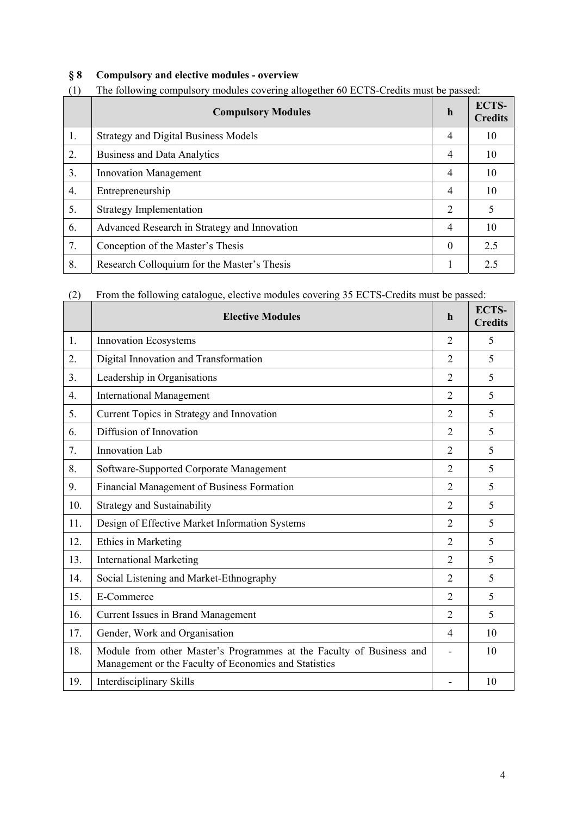# **§ 8 Compulsory and elective modules - overview**

|    | <b>Compulsory Modules</b>                    | $\mathbf h$ | ECTS-<br><b>Credits</b> |
|----|----------------------------------------------|-------------|-------------------------|
| 1. | <b>Strategy and Digital Business Models</b>  | 4           | 10                      |
| 2. | <b>Business and Data Analytics</b>           | 4           | 10                      |
| 3. | <b>Innovation Management</b>                 | 4           | 10                      |
| 4. | Entrepreneurship                             | 4           | 10                      |
| 5. | <b>Strategy Implementation</b>               | 2           |                         |
| 6. | Advanced Research in Strategy and Innovation | 4           | 10                      |
| 7. | Conception of the Master's Thesis            | $\theta$    | 2.5                     |
| 8. | Research Colloquium for the Master's Thesis  |             | 2.5                     |

# (1) The following compulsory modules covering altogether 60 ECTS-Credits must be passed:

(2) From the following catalogue, elective modules covering 35 ECTS-Credits must be passed:

| (2) | From the following catalogue, elective modules covering 35 ECTS-Credits must be passed:                                       |                |                                |
|-----|-------------------------------------------------------------------------------------------------------------------------------|----------------|--------------------------------|
|     | <b>Elective Modules</b>                                                                                                       | $\mathbf h$    | <b>ECTS-</b><br><b>Credits</b> |
| 1.  | <b>Innovation Ecosystems</b>                                                                                                  | $\overline{2}$ | 5                              |
| 2.  | Digital Innovation and Transformation                                                                                         | $\overline{2}$ | 5                              |
| 3.  | Leadership in Organisations                                                                                                   | $\overline{2}$ | 5                              |
| 4.  | <b>International Management</b>                                                                                               | $\overline{2}$ | 5                              |
| 5.  | Current Topics in Strategy and Innovation                                                                                     | 2              | 5                              |
| 6.  | Diffusion of Innovation                                                                                                       | $\overline{2}$ | 5                              |
| 7.  | Innovation Lab                                                                                                                | $\overline{2}$ | 5                              |
| 8.  | Software-Supported Corporate Management                                                                                       | $\overline{2}$ | 5                              |
| 9.  | Financial Management of Business Formation                                                                                    | $\overline{2}$ | 5                              |
| 10. | <b>Strategy and Sustainability</b>                                                                                            | $\overline{2}$ | 5                              |
| 11. | Design of Effective Market Information Systems                                                                                | $\overline{2}$ | 5                              |
| 12. | <b>Ethics in Marketing</b>                                                                                                    | 2              | 5                              |
| 13. | <b>International Marketing</b>                                                                                                | $\overline{2}$ | 5                              |
| 14. | Social Listening and Market-Ethnography                                                                                       | $\overline{2}$ | 5                              |
| 15. | E-Commerce                                                                                                                    | $\overline{2}$ | 5                              |
| 16. | Current Issues in Brand Management                                                                                            | $\overline{2}$ | 5                              |
| 17. | Gender, Work and Organisation                                                                                                 | $\overline{4}$ | 10                             |
| 18. | Module from other Master's Programmes at the Faculty of Business and<br>Management or the Faculty of Economics and Statistics |                | 10                             |
| 19. | Interdisciplinary Skills                                                                                                      |                | 10                             |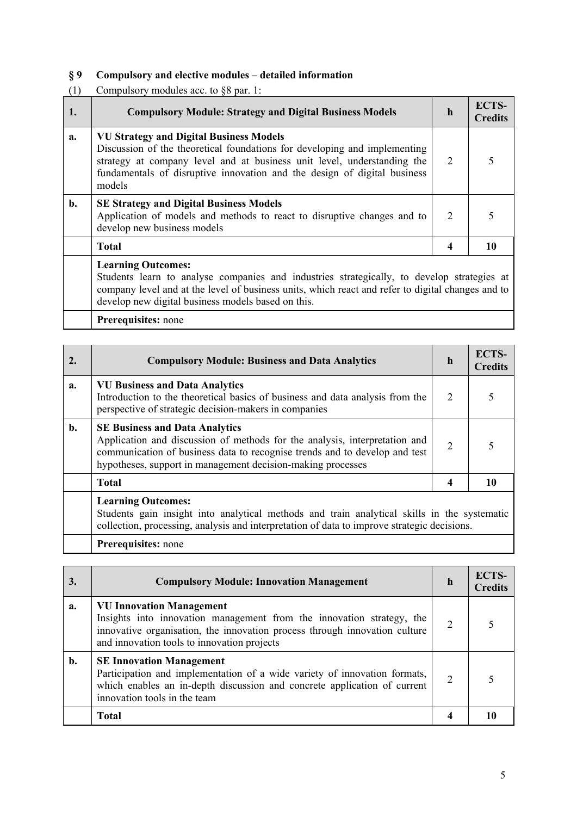# **§ 9 Compulsory and elective modules – detailed information**

(1) Compulsory modules acc. to §8 par. 1:

| 1. | <b>Compulsory Module: Strategy and Digital Business Models</b>                                                                                                                                                                                                                               | h                           | <b>ECTS-</b><br><b>Credits</b> |
|----|----------------------------------------------------------------------------------------------------------------------------------------------------------------------------------------------------------------------------------------------------------------------------------------------|-----------------------------|--------------------------------|
| a. | <b>VU Strategy and Digital Business Models</b><br>Discussion of the theoretical foundations for developing and implementing<br>strategy at company level and at business unit level, understanding the<br>fundamentals of disruptive innovation and the design of digital business<br>models | 2                           |                                |
| b. | <b>SE Strategy and Digital Business Models</b><br>Application of models and methods to react to disruptive changes and to<br>develop new business models                                                                                                                                     | $\mathcal{D}_{\mathcal{L}}$ |                                |
|    | <b>Total</b>                                                                                                                                                                                                                                                                                 | 4                           | 10                             |
|    | <b>Learning Outcomes:</b><br>Students learn to analyse companies and industries strategically, to develop strategies at<br>company level and at the level of business units, which react and refer to digital changes and to                                                                 |                             |                                |

develop new digital business models based on this.

**Prerequisites:** none

| 2. | <b>Compulsory Module: Business and Data Analytics</b>                                                                                                                                                                                                            | h | <b>ECTS-</b><br><b>Credits</b> |
|----|------------------------------------------------------------------------------------------------------------------------------------------------------------------------------------------------------------------------------------------------------------------|---|--------------------------------|
| a. | <b>VU Business and Data Analytics</b><br>Introduction to the theoretical basics of business and data analysis from the<br>perspective of strategic decision-makers in companies                                                                                  | 2 |                                |
| b. | <b>SE Business and Data Analytics</b><br>Application and discussion of methods for the analysis, interpretation and<br>communication of business data to recognise trends and to develop and test<br>hypotheses, support in management decision-making processes | 2 |                                |
|    | <b>Total</b>                                                                                                                                                                                                                                                     |   |                                |
|    | <b>Learning Outcomes:</b><br>Students gain insight into analytical methods and train analytical skills in the systematic<br>collection, processing, analysis and interpretation of data to improve strategic decisions.                                          |   |                                |
|    | Prerequisites: none                                                                                                                                                                                                                                              |   |                                |

| 3. | <b>Compulsory Module: Innovation Management</b>                                                                                                                                                                                       | h                           | ECTS-<br><b>Credits</b> |
|----|---------------------------------------------------------------------------------------------------------------------------------------------------------------------------------------------------------------------------------------|-----------------------------|-------------------------|
| a. | <b>VU Innovation Management</b><br>Insights into innovation management from the innovation strategy, the<br>innovative organisation, the innovation process through innovation culture<br>and innovation tools to innovation projects |                             |                         |
| b. | <b>SE Innovation Management</b><br>Participation and implementation of a wide variety of innovation formats,<br>which enables an in-depth discussion and concrete application of current<br>innovation tools in the team              | $\mathcal{D}_{\mathcal{L}}$ |                         |
|    | <b>Total</b>                                                                                                                                                                                                                          |                             |                         |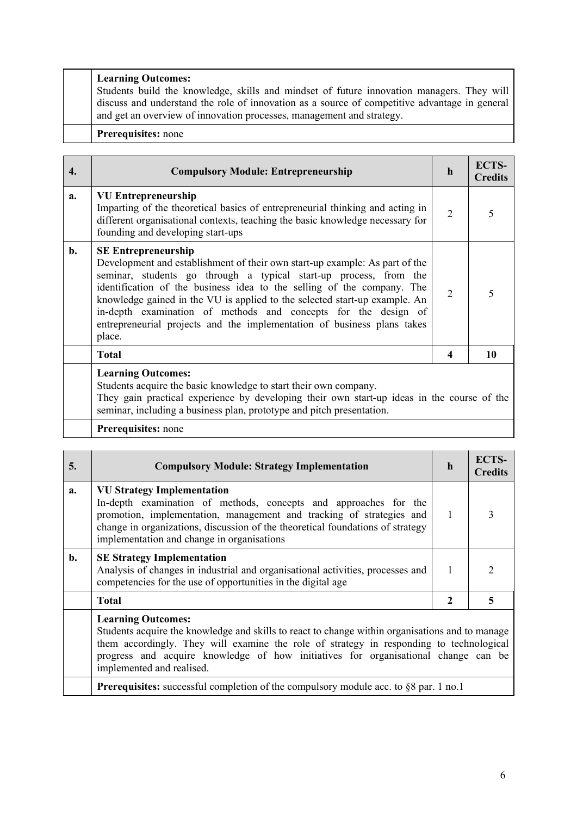## **Learning Outcomes:**

Students build the knowledge, skills and mindset of future innovation managers. They will discuss and understand the role of innovation as a source of competitive advantage in general and get an overview of innovation processes, management and strategy.

#### **Prerequisites:** none

| 4. | <b>Compulsory Module: Entrepreneurship</b>                                                                                                                                                                                                                                                                                                                                                                                                                                                    | $\mathbf h$    | ECTS-<br><b>Credits</b> |
|----|-----------------------------------------------------------------------------------------------------------------------------------------------------------------------------------------------------------------------------------------------------------------------------------------------------------------------------------------------------------------------------------------------------------------------------------------------------------------------------------------------|----------------|-------------------------|
| a. | <b>VU Entrepreneurship</b><br>Imparting of the theoretical basics of entrepreneurial thinking and acting in<br>different organisational contexts, teaching the basic knowledge necessary for<br>founding and developing start-ups                                                                                                                                                                                                                                                             | $\overline{2}$ |                         |
| b. | <b>SE Entrepreneurship</b><br>Development and establishment of their own start-up example: As part of the<br>seminar, students go through a typical start-up process, from the<br>identification of the business idea to the selling of the company. The<br>knowledge gained in the VU is applied to the selected start-up example. An<br>in-depth examination of methods and concepts for the design of<br>entrepreneurial projects and the implementation of business plans takes<br>place. | $\overline{2}$ |                         |
|    | <b>Total</b>                                                                                                                                                                                                                                                                                                                                                                                                                                                                                  | 4              | 10                      |
|    | <b>Learning Outcomes:</b><br>Students acquire the basic knowledge to start their own company.<br>They goin proctical experience by developing their own start up ideas in the course of the                                                                                                                                                                                                                                                                                                   |                |                         |

They gain practical experience by developing their own start-up ideas in the course of the seminar, including a business plan, prototype and pitch presentation.

## **Prerequisites:** none

| 5. | <b>Compulsory Module: Strategy Implementation</b>                                                                                                                                                                                                                                                                                          | $\mathbf h$ | <b>ECTS-</b><br><b>Credits</b> |
|----|--------------------------------------------------------------------------------------------------------------------------------------------------------------------------------------------------------------------------------------------------------------------------------------------------------------------------------------------|-------------|--------------------------------|
| a. | <b>VU Strategy Implementation</b><br>In-depth examination of methods, concepts and approaches for the<br>promotion, implementation, management and tracking of strategies and<br>change in organizations, discussion of the theoretical foundations of strategy<br>implementation and change in organisations                              |             |                                |
| b. | <b>SE Strategy Implementation</b><br>Analysis of changes in industrial and organisational activities, processes and<br>competencies for the use of opportunities in the digital age                                                                                                                                                        | 1           |                                |
|    | <b>Total</b>                                                                                                                                                                                                                                                                                                                               | 2           | 5                              |
|    | <b>Learning Outcomes:</b><br>Students acquire the knowledge and skills to react to change within organisations and to manage<br>them accordingly. They will examine the role of strategy in responding to technological<br>progress and acquire knowledge of how initiatives for organisational change can be<br>implemented and realised. |             |                                |

**Prerequisites:** successful completion of the compulsory module acc. to §8 par. 1 no.1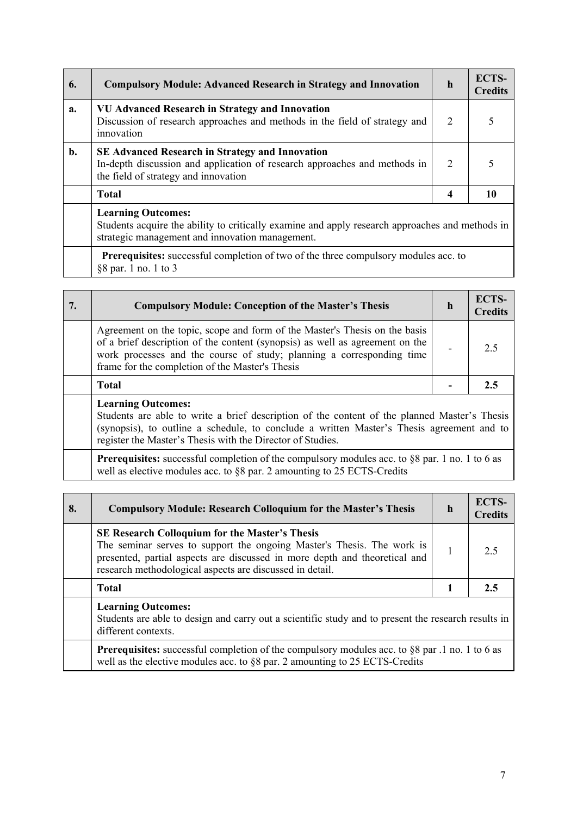| 6. | <b>Compulsory Module: Advanced Research in Strategy and Innovation</b>                                                                                                          | h                           | <b>ECTS-</b><br><b>Credits</b> |
|----|---------------------------------------------------------------------------------------------------------------------------------------------------------------------------------|-----------------------------|--------------------------------|
| a. | <b>VU Advanced Research in Strategy and Innovation</b><br>Discussion of research approaches and methods in the field of strategy and<br>innovation                              | 2                           |                                |
| b. | <b>SE Advanced Research in Strategy and Innovation</b><br>In-depth discussion and application of research approaches and methods in<br>the field of strategy and innovation     | $\mathcal{D}_{\mathcal{L}}$ |                                |
|    | <b>Total</b>                                                                                                                                                                    | 4                           | 10                             |
|    | <b>Learning Outcomes:</b><br>Students acquire the ability to critically examine and apply research approaches and methods in<br>strategic management and innovation management. |                             |                                |
|    | <b>Prerequisites:</b> successful completion of two of the three compulsory modules acc. to                                                                                      |                             |                                |

§8 par. 1 no. 1 to 3

| .7 | <b>Compulsory Module: Conception of the Master's Thesis</b>                                                                                                                                                                                                                            | n | ECTS-<br>Credits |
|----|----------------------------------------------------------------------------------------------------------------------------------------------------------------------------------------------------------------------------------------------------------------------------------------|---|------------------|
|    | Agreement on the topic, scope and form of the Master's Thesis on the basis<br>of a brief description of the content (synopsis) as well as agreement on the<br>work processes and the course of study; planning a corresponding time<br>frame for the completion of the Master's Thesis |   | 25               |
|    | <b>Total</b>                                                                                                                                                                                                                                                                           |   |                  |
|    | <b>Learning Outcomes:</b>                                                                                                                                                                                                                                                              |   |                  |

Students are able to write a brief description of the content of the planned Master's Thesis (synopsis), to outline a schedule, to conclude a written Master's Thesis agreement and to register the Master's Thesis with the Director of Studies.

**Prerequisites:** successful completion of the compulsory modules acc. to §8 par. 1 no. 1 to 6 as well as elective modules acc. to §8 par. 2 amounting to 25 ECTS-Credits

| 8. | <b>Compulsory Module: Research Colloquium for the Master's Thesis</b>                                                                                                                                                                                                     | h | <b>ECTS-</b><br><b>Credits</b> |
|----|---------------------------------------------------------------------------------------------------------------------------------------------------------------------------------------------------------------------------------------------------------------------------|---|--------------------------------|
|    | <b>SE Research Colloquium for the Master's Thesis</b><br>The seminar serves to support the ongoing Master's Thesis. The work is<br>presented, partial aspects are discussed in more depth and theoretical and<br>research methodological aspects are discussed in detail. |   | 2.5                            |
|    | <b>Total</b>                                                                                                                                                                                                                                                              |   | 2.5                            |
|    | <b>Learning Outcomes:</b><br>Students are able to design and carry out a scientific study and to present the research results in<br>different contexts.                                                                                                                   |   |                                |
|    | Prerequisites: successful completion of the compulsory modules acc. to §8 par .1 no. 1 to 6 as<br>well as the elective modules acc. to §8 par. 2 amounting to 25 ECTS-Credits                                                                                             |   |                                |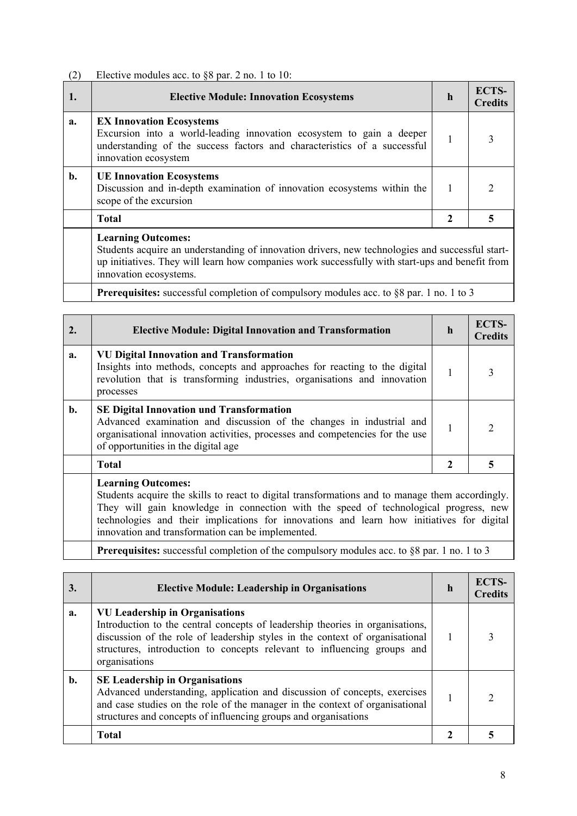# (2) Elective modules acc. to §8 par. 2 no. 1 to 10:

|    | <b>Elective Module: Innovation Ecosystems</b>                                                                                                                                                               | $\mathbf h$ | <b>ECTS-</b><br><b>Credits</b> |
|----|-------------------------------------------------------------------------------------------------------------------------------------------------------------------------------------------------------------|-------------|--------------------------------|
| a. | <b>EX Innovation Ecosystems</b><br>Excursion into a world-leading innovation ecosystem to gain a deeper<br>understanding of the success factors and characteristics of a successful<br>innovation ecosystem |             |                                |
| b. | <b>UE Innovation Ecosystems</b><br>Discussion and in-depth examination of innovation ecosystems within the<br>scope of the excursion                                                                        |             |                                |
|    | <b>Total</b>                                                                                                                                                                                                | 2           |                                |
|    | <b>Learning Outcomes:</b><br>Students acquire an understanding of innovation drivers new technologies and successful start-                                                                                 |             |                                |

Students acquire an understanding of innovation drivers, new technologies and successful startup initiatives. They will learn how companies work successfully with start-ups and benefit from innovation ecosystems.

**Prerequisites:** successful completion of compulsory modules acc. to §8 par. 1 no. 1 to 3

| 2. | <b>Elective Module: Digital Innovation and Transformation</b>                                                                                                                                                                                                                                                                                                          | $\mathbf h$  | <b>ECTS-</b><br><b>Credits</b> |
|----|------------------------------------------------------------------------------------------------------------------------------------------------------------------------------------------------------------------------------------------------------------------------------------------------------------------------------------------------------------------------|--------------|--------------------------------|
| a. | <b>VU Digital Innovation and Transformation</b><br>Insights into methods, concepts and approaches for reacting to the digital<br>revolution that is transforming industries, organisations and innovation<br>processes                                                                                                                                                 | 1            | 3                              |
| b. | <b>SE Digital Innovation und Transformation</b><br>Advanced examination and discussion of the changes in industrial and<br>organisational innovation activities, processes and competencies for the use<br>of opportunities in the digital age                                                                                                                         | 1            | $\mathcal{D}$                  |
|    | <b>Total</b>                                                                                                                                                                                                                                                                                                                                                           | $\mathbf{2}$ | 5                              |
|    | <b>Learning Outcomes:</b><br>Students acquire the skills to react to digital transformations and to manage them accordingly.<br>They will gain knowledge in connection with the speed of technological progress, new<br>technologies and their implications for innovations and learn how initiatives for digital<br>innovation and transformation can be implemented. |              |                                |
|    | <b>Prerequisites:</b> successful completion of the compulsory modules acc. to §8 par. 1 no. 1 to 3                                                                                                                                                                                                                                                                     |              |                                |

| 3. | <b>Elective Module: Leadership in Organisations</b>                                                                                                                                                                                                                                                | h | ECTS-<br><b>Credits</b> |
|----|----------------------------------------------------------------------------------------------------------------------------------------------------------------------------------------------------------------------------------------------------------------------------------------------------|---|-------------------------|
| a. | <b>VU Leadership in Organisations</b><br>Introduction to the central concepts of leadership theories in organisations,<br>discussion of the role of leadership styles in the context of organisational<br>structures, introduction to concepts relevant to influencing groups and<br>organisations |   |                         |
| b. | <b>SE Leadership in Organisations</b><br>Advanced understanding, application and discussion of concepts, exercises<br>and case studies on the role of the manager in the context of organisational<br>structures and concepts of influencing groups and organisations                              |   |                         |
|    | <b>Total</b>                                                                                                                                                                                                                                                                                       |   |                         |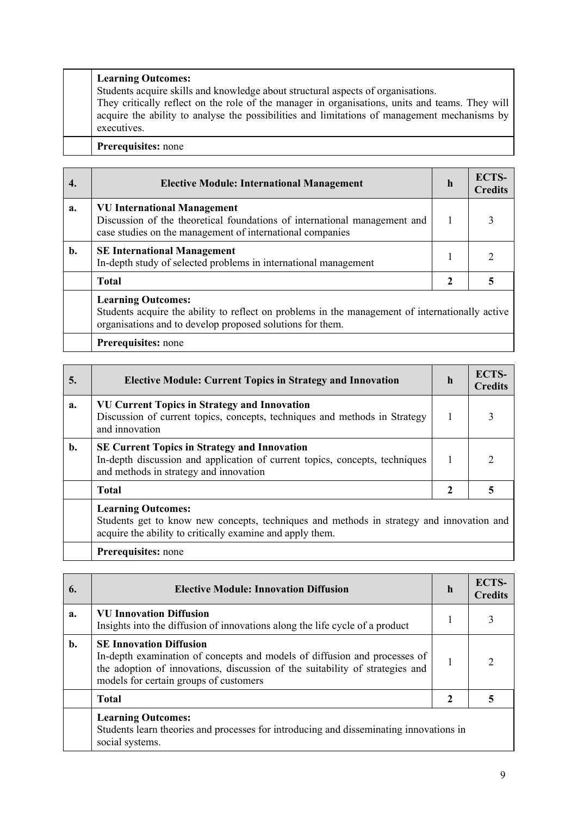## **Learning Outcomes:**

Students acquire skills and knowledge about structural aspects of organisations.

They critically reflect on the role of the manager in organisations, units and teams. They will acquire the ability to analyse the possibilities and limitations of management mechanisms by executives.

# **Prerequisites:** none

|    | <b>Elective Module: International Management</b>                                                                                                                                          | h | <b>ECTS-</b><br><b>Credits</b> |
|----|-------------------------------------------------------------------------------------------------------------------------------------------------------------------------------------------|---|--------------------------------|
| a. | <b>VU International Management</b><br>Discussion of the theoretical foundations of international management and<br>case studies on the management of international companies              |   |                                |
| b. | <b>SE International Management</b><br>In-depth study of selected problems in international management                                                                                     |   |                                |
|    | <b>Total</b>                                                                                                                                                                              | 2 |                                |
|    | <b>Learning Outcomes:</b><br>Students acquire the ability to reflect on problems in the management of internationally active<br>organisations and to develop proposed solutions for them. |   |                                |
|    | <b>Prerequisites:</b> none                                                                                                                                                                |   |                                |

| 5. | <b>Elective Module: Current Topics in Strategy and Innovation</b>                                                                                                                  | h | <b>ECTS-</b><br><b>Credits</b> |  |
|----|------------------------------------------------------------------------------------------------------------------------------------------------------------------------------------|---|--------------------------------|--|
| a. | <b>VU Current Topics in Strategy and Innovation</b><br>Discussion of current topics, concepts, techniques and methods in Strategy<br>and innovation                                |   |                                |  |
| b. | <b>SE Current Topics in Strategy and Innovation</b><br>In-depth discussion and application of current topics, concepts, techniques<br>and methods in strategy and innovation       |   |                                |  |
|    | <b>Total</b>                                                                                                                                                                       |   |                                |  |
|    | <b>Learning Outcomes:</b><br>Students get to know new concepts, techniques and methods in strategy and innovation and<br>acquire the ability to critically examine and apply them. |   |                                |  |

## **Prerequisites:** none

| 6. | <b>Elective Module: Innovation Diffusion</b>                                                                                                                                                                                          | h | ECTS-<br><b>Credits</b> |
|----|---------------------------------------------------------------------------------------------------------------------------------------------------------------------------------------------------------------------------------------|---|-------------------------|
| a. | <b>VU Innovation Diffusion</b><br>Insights into the diffusion of innovations along the life cycle of a product                                                                                                                        |   |                         |
| b. | <b>SE Innovation Diffusion</b><br>In-depth examination of concepts and models of diffusion and processes of<br>the adoption of innovations, discussion of the suitability of strategies and<br>models for certain groups of customers |   |                         |
|    | <b>Total</b>                                                                                                                                                                                                                          |   |                         |
|    | <b>Learning Outcomes:</b><br>Students learn theories and processes for introducing and disseminating innovations in<br>social systems.                                                                                                |   |                         |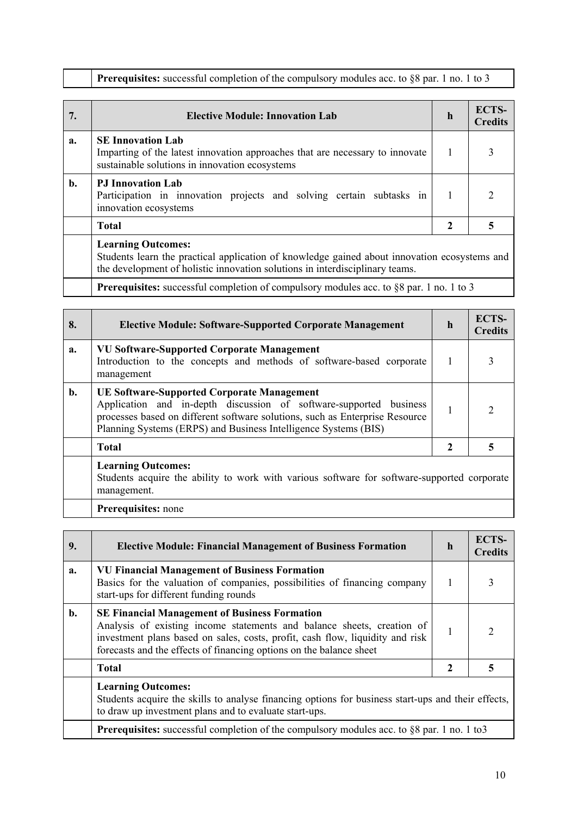|  |  | <b>Prerequisites:</b> successful completion of the compulsory modules acc. to $\S 8$ par. 1 no. 1 to 3 |  |  |
|--|--|--------------------------------------------------------------------------------------------------------|--|--|
|  |  |                                                                                                        |  |  |

| 7. | <b>Elective Module: Innovation Lab</b>                                                                                                                                                                    | $\mathbf{h}$ | <b>ECTS-</b><br><b>Credits</b> |  |
|----|-----------------------------------------------------------------------------------------------------------------------------------------------------------------------------------------------------------|--------------|--------------------------------|--|
| a. | <b>SE Innovation Lab</b><br>Imparting of the latest innovation approaches that are necessary to innovate<br>sustainable solutions in innovation ecosystems                                                |              | 3                              |  |
| b. | <b>PJ</b> Innovation Lab<br>Participation in innovation projects and solving certain subtasks in<br>innovation ecosystems                                                                                 |              | $\mathcal{D}$                  |  |
|    | <b>Total</b>                                                                                                                                                                                              | 2            | 5                              |  |
|    | <b>Learning Outcomes:</b><br>Students learn the practical application of knowledge gained about innovation ecosystems and<br>the development of holistic innovation solutions in interdisciplinary teams. |              |                                |  |
|    | <b>Prerequisites:</b> successful completion of compulsory modules acc. to §8 par. 1 no. 1 to 3                                                                                                            |              |                                |  |

| 8. | <b>Elective Module: Software-Supported Corporate Management</b>                                                                                                                                                                                                            | h | <b>ECTS-</b><br><b>Credits</b> |
|----|----------------------------------------------------------------------------------------------------------------------------------------------------------------------------------------------------------------------------------------------------------------------------|---|--------------------------------|
| a. | <b>VU Software-Supported Corporate Management</b><br>Introduction to the concepts and methods of software-based corporate<br>management                                                                                                                                    |   |                                |
| b. | <b>UE Software-Supported Corporate Management</b><br>Application and in-depth discussion of software-supported business<br>processes based on different software solutions, such as Enterprise Resource<br>Planning Systems (ERPS) and Business Intelligence Systems (BIS) |   |                                |
|    | <b>Total</b>                                                                                                                                                                                                                                                               |   |                                |
|    | <b>Learning Outcomes:</b><br>Students acquire the ability to work with various software for software-supported corporate<br>management.                                                                                                                                    |   |                                |

**Prerequisites:** none

| 9. | <b>Elective Module: Financial Management of Business Formation</b>                                                                                                                                                                                                                     | $\mathbf h$ | ECTS-<br><b>Credits</b> |  |
|----|----------------------------------------------------------------------------------------------------------------------------------------------------------------------------------------------------------------------------------------------------------------------------------------|-------------|-------------------------|--|
| a. | <b>VU Financial Management of Business Formation</b><br>Basics for the valuation of companies, possibilities of financing company<br>start-ups for different funding rounds                                                                                                            |             |                         |  |
| b. | <b>SE Financial Management of Business Formation</b><br>Analysis of existing income statements and balance sheets, creation of<br>investment plans based on sales, costs, profit, cash flow, liquidity and risk<br>forecasts and the effects of financing options on the balance sheet |             |                         |  |
|    | <b>Total</b>                                                                                                                                                                                                                                                                           | 2           |                         |  |
|    | <b>Learning Outcomes:</b><br>Students acquire the skills to analyse financing options for business start-ups and their effects,<br>to draw up investment plans and to evaluate start-ups.                                                                                              |             |                         |  |
|    | Prerequisites: successful completion of the compulsory modules acc. to §8 par. 1 no. 1 to3                                                                                                                                                                                             |             |                         |  |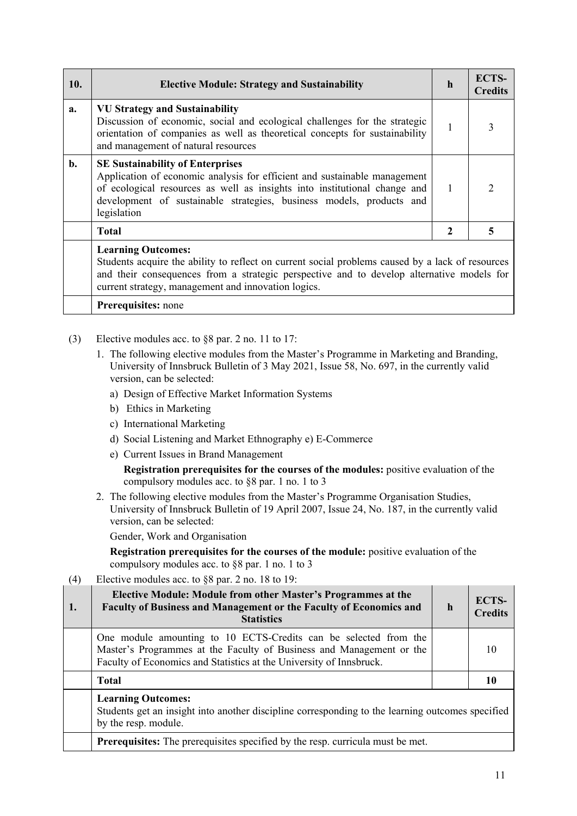| 10.   | <b>Elective Module: Strategy and Sustainability</b>                                                                                                                                                                                                                                      | h | <b>ECTS-</b><br><b>Credits</b> |  |
|-------|------------------------------------------------------------------------------------------------------------------------------------------------------------------------------------------------------------------------------------------------------------------------------------------|---|--------------------------------|--|
| a.    | <b>VU Strategy and Sustainability</b><br>Discussion of economic, social and ecological challenges for the strategic<br>orientation of companies as well as theoretical concepts for sustainability<br>and management of natural resources                                                | 1 |                                |  |
| $b$ . | <b>SE Sustainability of Enterprises</b><br>Application of economic analysis for efficient and sustainable management<br>of ecological resources as well as insights into institutional change and<br>development of sustainable strategies, business models, products and<br>legislation |   | $\mathcal{D}$                  |  |
|       | <b>Total</b>                                                                                                                                                                                                                                                                             | 2 | 5                              |  |
|       | <b>Learning Outcomes:</b><br>Students acquire the ability to reflect on current social problems caused by a lack of resources<br>and their consequences from a strategic perspective and to develop alternative models for<br>current strategy, management and innovation logics.        |   |                                |  |
|       | <b>Prerequisites:</b> none                                                                                                                                                                                                                                                               |   |                                |  |

- (3) Elective modules acc. to §8 par. 2 no. 11 to 17:
	- 1. The following elective modules from the Master's Programme in Marketing and Branding, University of Innsbruck Bulletin of 3 May 2021, Issue 58, No. 697, in the currently valid version, can be selected:
		- a) Design of Effective Market Information Systems
		- b) Ethics in Marketing
		- c) International Marketing
		- d) Social Listening and Market Ethnography e) E-Commerce
		- e) Current Issues in Brand Management

**Registration prerequisites for the courses of the modules:** positive evaluation of the compulsory modules acc. to §8 par. 1 no. 1 to 3

2. The following elective modules from the Master's Programme Organisation Studies, University of Innsbruck Bulletin of 19 April 2007, Issue 24, No. 187, in the currently valid version, can be selected:

Gender, Work and Organisation

**Registration prerequisites for the courses of the module:** positive evaluation of the compulsory modules acc. to §8 par. 1 no. 1 to 3

(4) Elective modules acc. to §8 par. 2 no. 18 to 19:

| 1. | <b>Elective Module: Module from other Master's Programmes at the</b><br>Faculty of Business and Management or the Faculty of Economics and<br><b>Statistics</b>                                                 | $\mathbf h$ | ECTS-<br><b>Credits</b> |  |
|----|-----------------------------------------------------------------------------------------------------------------------------------------------------------------------------------------------------------------|-------------|-------------------------|--|
|    | One module amounting to 10 ECTS-Credits can be selected from the<br>Master's Programmes at the Faculty of Business and Management or the<br>Faculty of Economics and Statistics at the University of Innsbruck. |             |                         |  |
|    | <b>Total</b>                                                                                                                                                                                                    |             |                         |  |
|    | <b>Learning Outcomes:</b><br>Students get an insight into another discipline corresponding to the learning outcomes specified<br>by the resp. module.                                                           |             |                         |  |
|    | Prerequisites: The prerequisites specified by the resp. curricula must be met.                                                                                                                                  |             |                         |  |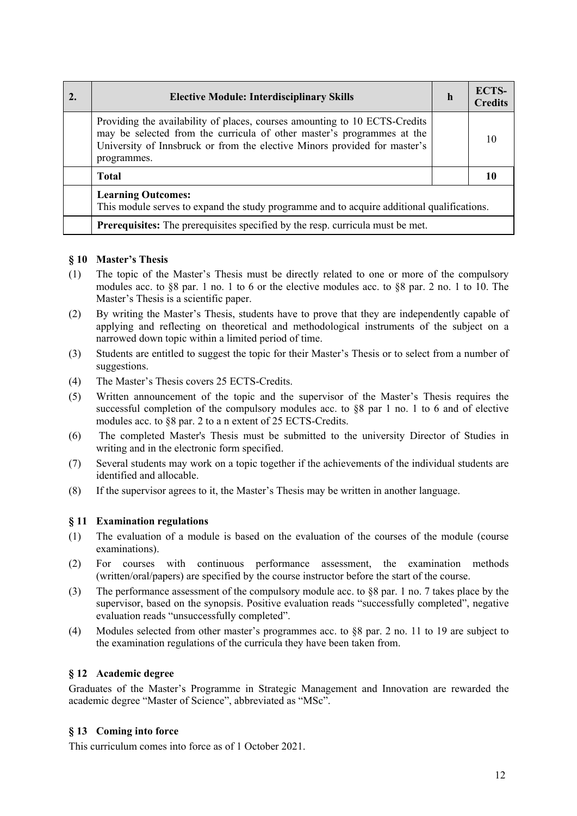| <b>Elective Module: Interdisciplinary Skills</b>                                                                                                                                                                                                 | h | <b>ECTS-</b><br><b>Credits</b> |
|--------------------------------------------------------------------------------------------------------------------------------------------------------------------------------------------------------------------------------------------------|---|--------------------------------|
| Providing the availability of places, courses amounting to 10 ECTS-Credits<br>may be selected from the curricula of other master's programmes at the<br>University of Innsbruck or from the elective Minors provided for master's<br>programmes. |   |                                |
| <b>Total</b>                                                                                                                                                                                                                                     |   |                                |
| <b>Learning Outcomes:</b><br>This module serves to expand the study programme and to acquire additional qualifications.                                                                                                                          |   |                                |
| Prerequisites: The prerequisites specified by the resp. curricula must be met.                                                                                                                                                                   |   |                                |

## **§ 10 Master's Thesis**

- (1) The topic of the Master's Thesis must be directly related to one or more of the compulsory modules acc. to §8 par. 1 no. 1 to 6 or the elective modules acc. to §8 par. 2 no. 1 to 10. The Master's Thesis is a scientific paper.
- (2) By writing the Master's Thesis, students have to prove that they are independently capable of applying and reflecting on theoretical and methodological instruments of the subject on a narrowed down topic within a limited period of time.
- (3) Students are entitled to suggest the topic for their Master's Thesis or to select from a number of suggestions.
- (4) The Master's Thesis covers 25 ECTS-Credits.
- (5) Written announcement of the topic and the supervisor of the Master's Thesis requires the successful completion of the compulsory modules acc. to §8 par 1 no. 1 to 6 and of elective modules acc. to §8 par. 2 to a n extent of 25 ECTS-Credits.
- (6) The completed Master's Thesis must be submitted to the university Director of Studies in writing and in the electronic form specified.
- (7) Several students may work on a topic together if the achievements of the individual students are identified and allocable.
- (8) If the supervisor agrees to it, the Master's Thesis may be written in another language.

#### **§ 11 Examination regulations**

- (1) The evaluation of a module is based on the evaluation of the courses of the module (course examinations).
- (2) For courses with continuous performance assessment, the examination methods (written/oral/papers) are specified by the course instructor before the start of the course.
- (3) The performance assessment of the compulsory module acc. to §8 par. 1 no. 7 takes place by the supervisor, based on the synopsis. Positive evaluation reads "successfully completed", negative evaluation reads "unsuccessfully completed".
- (4) Modules selected from other master's programmes acc. to §8 par. 2 no. 11 to 19 are subject to the examination regulations of the curricula they have been taken from.

## **§ 12 Academic degree**

Graduates of the Master's Programme in Strategic Management and Innovation are rewarded the academic degree "Master of Science", abbreviated as "MSc".

#### **§ 13 Coming into force**

This curriculum comes into force as of 1 October 2021.